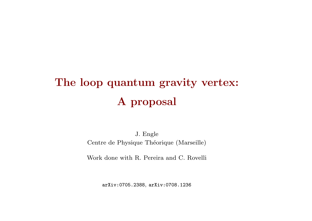# The loop quantum gravity vertex: A proposal

J. Engle Centre de Physique Théorique (Marseille)

Work done with R. Pereira and C. Rovelli

arXiv:0705.2388, arXiv:0708.1236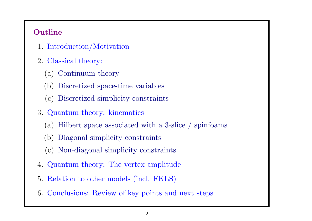## **Outline**

- 1. Introduction/Motivation
- 2. Classical theory:
	- (a) Continuum theory
	- (b) Discretized space-time variables
	- (c) Discretized simplicity constraints
- 3. Quantum theory: kinematics
	- (a) Hilbert space associated with <sup>a</sup> 3-slice / spinfoams
	- (b) Diagonal simplicity constraints
	- (c) Non-diagonal simplicity constraints
- 4. Quantum theory: The vertex amplitude
- 5. Relation to other models (incl. FKLS)
- 6. Conclusions: Review of key points and next steps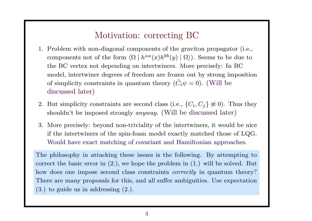# Motivation: correcting BC

- 1. Problem with non-diagonal components of the graviton propagator (i.e., components not of the form  $\langle \Omega | h^{aa}(x)h^{bb}(y) | \Omega \rangle$ . Seems to be due to the BC vertex not depending on intertwiners. More precisely: In BC model, intertwiner degrees of freedom are frozen out by strong imposition of simplicity constraints in quantum theory  $(\hat{C}% _{0})^{\Delta }$  $i\psi = 0$ ). (Will be discussed later)
- 2. But simplicity constraints are second class (i.e.,  $\{C_i, C_j\} \not\approx 0$ ). Thus they shouldn't be imposed strongly *anyway*. (Will be discussed later)
- 3. More precisely: beyond non-triviality of the intertwiners, it would be nice if the intertwiners of the spin-foam model exactly matched those of LQG. Would have exact matching of covariant and Hamiltonian approaches.

The <sup>p</sup>hilosophy in attacking these issues is the following. By attempting to correct the basic error in (2.), we hope the problem in (1.) will be solved. But how does one impose second class constraints *correctly* in quantum theory? There are many proposals for this, and all suffer ambiguities. Use expectation (3.) to guide us in addressing (2.).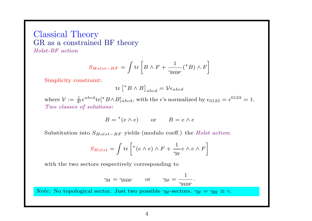Classical Theory GR as <sup>a</sup> constrained BF theory Holst-BF action

$$
S_{Holst-BF} = \int \text{tr}\left[B \wedge F + \frac{1}{\gamma_{HBF}}(^{\star}B) \wedge F\right]
$$

Simplicity constraint:

$$
\operatorname{tr}\left[{}^{\star}B \wedge B\right]_{abcd} = \mathcal{V}\epsilon_{abcd}
$$

where  $\mathcal{V} := \frac{1}{4!} \epsilon^{abcd} \text{tr}[^{\star}B \wedge B]_{abcd}$ , with the  $\epsilon$ 's normalized by  $\epsilon_{0123} = \epsilon^{0123} = 1$ . Two classes of solutions:

$$
B = {}^{\star}(e \wedge e) \qquad \text{or} \qquad B = e \wedge e
$$

Substitution into  $S_{Holst-BF}$  yields (modulo coeff.) the Holst action:

$$
S_{Holst} = \int \text{tr}\left[ {}^{\star} (e \wedge e) \wedge F + \frac{1}{\gamma_H} e \wedge e \wedge F \right]
$$

with the two sectors respectively corresponding to

$$
\gamma_H = \gamma_{HBF}
$$
 or  $\gamma_H = \frac{1}{\gamma_{HBF}}$ .

*Note:* No topological sector. Just two possible  $\gamma_H$ -sectors.  $\gamma_H = \gamma_{BI} \equiv \gamma$ .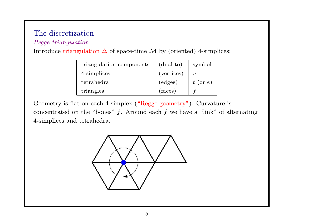## The discretization

#### Regge triangulation

| triangulation components | (dual to)  | symbol              |
|--------------------------|------------|---------------------|
| 4-simplices              | (vertices) | $\boldsymbol{\eta}$ |
| tetrahedra               | (edges)    | $t$ (or e)          |
| triangles                | (faces)    |                     |

Introduce triangulation  $\Delta$  of space-time  $\mathcal M$  by (oriented) 4-simplices:

Geometry is flat on each 4-simplex ("Regge geometry"). Curvature is concentrated on the "bones"  $f$ . Around each  $f$  we have a "link" of alternating 4-simplices and tetrahedra.

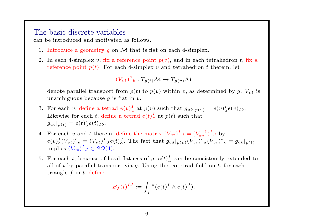#### The basic discrete variables

can be introduced and motivated as follows.

- 1. Introduce a geometry q on  $M$  that is flat on each 4-simplex.
- 2. In each 4-simplex v, fix a reference point  $p(v)$ , and in each tetrahedron t, fix a reference point  $p(t)$ . For each 4-simplex v and tetrahedron t therein, let

$$
(V_{vt})^a{}_b:T_{p(t)}\mathcal{M}\to T_{p(v)}\mathcal{M}
$$

denote parallel transport from  $p(t)$  to  $p(v)$  within v, as determined by g.  $V_{vt}$  is unambiguous because q is flat in  $v$ .

- 3. For each v, define a tetrad  $e(v)_{a}^{I}$  at  $p(v)$  such that  $g_{ab}|_{p(v)} = e(v)_{a}^{I}e(v)_{Ib}$ . Likewise for each t, define a tetrad  $e(t)$ <sup>I</sup><sub>a</sub> at  $p(t)$  such that  $g_{ab}|_{p(t)} = e(t)_{a}^{I}e(t)_{Ib}.$
- 4. For each v and t therein, define the matrix  $(V_{vt})^I{}_J = (V_{tv}^{-1})^I{}_J$  by  $e(v)_{b}^{I}(V_{vt})_{a}^{b} = (V_{vt})_{a}^{I}e(t)_{a}^{J}$ . The fact that  $g_{cd}|_{p(v)}(V_{vt})_{a}^{c}(V_{vt})_{b}^{d} = g_{ab}|_{p(t)}$ implies  $(V_{vt})^I{}_J \in SO(4)$ .
- 5. For each t, because of local flatness of g,  $e(t)_{a}^{I}$  can be consistently extended to all of t by parallel transport via q. Using this cotetrad field on t, for each triangle  $f$  in  $t$ , define

$$
B_f(t)^{IJ} := \int_f \star (e(t)^I \wedge e(t)^J).
$$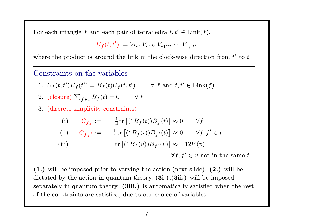For each triangle f and each pair of tetrahedra  $t, t' \in \text{Link}(f)$ ,

$$
U_f(t, t') := V_{t v_1} V_{v_1 t_1} V_{t_1 v_2} \cdots V_{v_n t'}
$$

where the product is around the link in the clock-wise direction from  $t'$  to  $t$ .

#### Constraints on the variables

1. 
$$
U_f(t, t')B_f(t') = B_f(t)U_f(t, t')
$$
  $\forall$  f and  $t, t' \in$  Link $(f)$ 

2. (closure) 
$$
\sum_{f \in t} B_f(t) = 0
$$
  $\forall t$ 

3. (discrete simplicity constraints)

(i) 
$$
C_{ff} := \frac{1}{4} \text{tr} [({}^{\star}B_f(t))B_f(t)] \approx 0 \quad \forall f
$$
  
\n(ii)  $C_{ff'} := \frac{1}{4} \text{tr} [({}^{\star}B_f(t))B_{f'}(t)] \approx 0 \quad \forall f, f' \in t$   
\n(iii)  $\text{tr} [({}^{\star}B_f(v))B_{f'}(v)] \approx \pm 12V(v)$ 

 $\forall f, f' \in v$  not in the same t

(1.) will be imposed prior to varying the action (next slide). (2.) will be dictated by the action in quantum theory,  $(3i.), (3ii.)$  will be imposed separately in quantum theory. (3iii.) is automatically satisfied when the rest of the constraints are satisfied, due to our choice of variables.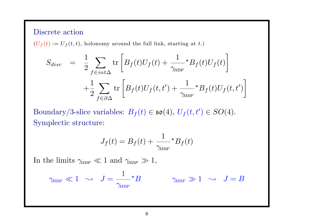#### Discrete action

 $(U_f(t) := U_f(t, t)$ , holonomy around the full link, starting at t.)

$$
S_{disc} = \frac{1}{2} \sum_{f \in int\Delta} \text{tr} \left[ B_f(t) U_f(t) + \frac{1}{\gamma_{HBF}} \star B_f(t) U_f(t) \right]
$$

$$
+ \frac{1}{2} \sum_{f \in \partial \Delta} \text{tr} \left[ B_f(t) U_f(t, t') + \frac{1}{\gamma_{HBF}} \star B_f(t) U_f(t, t') \right]
$$

Boundary/3-slice variables:  $B_f(t) \in \mathfrak{so}(4)$ ,  $U_f(t,t') \in SO(4)$ . Symplectic structure:

$$
J_f(t) = B_f(t) + \frac{1}{\gamma_{\text{HBF}}} \star B_f(t)
$$

In the limits  $\gamma_{HBF} \ll 1$  and  $\gamma_{HBF} \gg 1$ ,

$$
\gamma_{\text{\tiny{HBF}}} \ll 1 \ \, \sim \ \, J = \frac{1}{\gamma_{\text{\tiny{HBF}}}} \star B \qquad \qquad \gamma_{\text{\tiny{HBF}}} \gg 1 \ \, \sim \ \, J = B
$$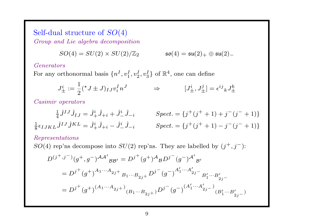Self-dual structure of SO(4) Group and Lie algebra decomposition

$$
SO(4)=SU(2)\times SU(2)/{\mathbb Z}_2 \qquad \qquad \mathfrak{so}(4)=\mathfrak{su}(2)_+ \oplus \mathfrak{su}(2)_-
$$

#### Generators

For any orthonormal basis  $\{n^I, v_1^I, v_2^I, v_3^I\}$  of  $\mathbb{R}^4$ , one can define

$$
J^i_{\pm} := \frac{1}{2}({}^{\star}J \pm J)_{IJ}v^I_i n^J \qquad \Rightarrow \qquad [J^i_{\pm}, J^j_{\pm}] = \epsilon^{ij}{}_k J^k_{\pm}
$$

Casimir operators

$$
\frac{1}{4}\hat{J}^{IJ}\hat{J}_{IJ} = \hat{J}_+^i \hat{J}_{+i} + \hat{J}_-^i \hat{J}_{-i} \qquad Spect. = \{j^+(j^+ + 1) + j^-(j^- + 1)\}
$$

$$
\frac{1}{8}\epsilon_{IJKL}\hat{J}^{IJ}\hat{J}^{KL} = \hat{J}_+^i \hat{J}_{+i} - \hat{J}_-^i \hat{J}_{-i} \qquad Spect. = \{j^+(j^+ + 1) - j^-(j^- + 1)\}
$$

#### Representations

SO(4) rep'ns decompose into  $SU(2)$  rep'ns. They are labelled by  $(j^+, j^-)$ :

$$
D^{(j^+,j^-)}(g^+,g^-)^{\mathcal{A}\mathcal{A}'}{}_{\mathcal{B}\mathcal{B}'} = D^{j^+}(g^+)^{\mathcal{A}}{}_{\mathcal{B}}D^{j^-}(g^-)^{\mathcal{A}'}{}_{\mathcal{B}'}
$$
  
= 
$$
D^{j^+}(g^+)^{A_1\cdots A_{2j^+}}{}_{B_1\cdots B_{2j^+}}D^{j^-}(g^-)^{A'_1\cdots A'_{2j^-}}{}_{B'_1\cdots B'_{2j^-}}
$$
  
= 
$$
D^{j^+}(g^+)^{(A_1\cdots A_{2j^+})}{}_{(B_1\cdots B_{2j^+})}D^{j^-}(g^-)^{(A'_1\cdots A'_{2j^-})}{}_{(B'_1\cdots B'_{2j^-})}
$$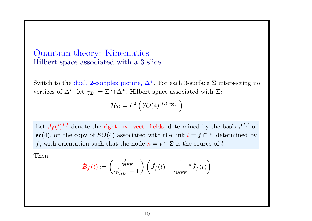## Quantum theory: Kinematics Hilbert space associated with <sup>a</sup> 3-slice

Switch to the dual, 2-complex picture,  $\Delta^*$ . For each 3-surface  $\Sigma$  intersecting no vertices of  $\Delta^*$ , let  $\gamma_{\Sigma} := \Sigma \cap \Delta^*$ . Hilbert space associated with  $\Sigma$ :

$$
\mathcal{H}_{\Sigma} = L^2 \left( SO(4)^{|E(\gamma_{\Sigma})|} \right)
$$

 $\rm Let \ \, \hat{J}$  $f_f(t)^{IJ}$  denote the right-inv. vect. fields, determined by the basis  $J^{IJ}$  of  $\mathfrak{so}(4)$ , on the copy of  $SO(4)$  associated with the link  $l = f \cap \Sigma$  determined by f, with orientation such that the node  $n = t \cap \Sigma$  is the source of l.

Then

$$
\hat{B}_f(t) := \left(\frac{\gamma_{HBF}^2}{\gamma_{HBF}^2 - 1}\right) \left(\hat{J}_f(t) - \frac{1}{\gamma_{HBF}} \cdot \hat{J}_f(t)\right)
$$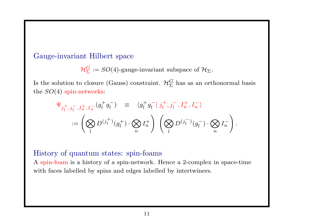#### Gauge-invariant Hilbert space

 $\mathcal{H}_{\Sigma}^G := SO(4)$ -gauge-invariant subspace of  $\mathcal{H}_{\Sigma}$ .

Is the solution to closure (Gauss) constraint.  $\mathcal{H}_{\Sigma}^G$  has as an orthonormal basis the  $SO(4)$  spin-networks:

$$
\Psi_{j_l^+,j_l^-,I_n^+,I_n^-}(g_l^+g_l^-) = \langle g_l^+g_l^- | j_l^+,j_l^-,I_n^+,I_n^- \rangle
$$
  
 := 
$$
\left( \bigotimes_l D^{(j_l^+)}(g_l^+) \cdot \bigotimes_n I_n^+ \right) \left( \bigotimes_l D^{(j_l^-)}(g_l^-) \cdot \bigotimes_n I_n^- \right).
$$

#### History of quantum states: spin-foams

A spin-foam is <sup>a</sup> history of <sup>a</sup> spin-network. Hence <sup>a</sup> 2-complex in space-time with faces labelled by spins and edges labelled by intertwiners.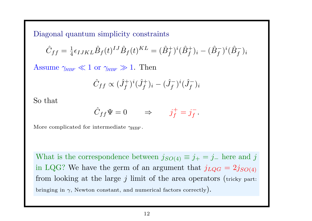Diagonal quantum simplicity constraints

$$
\hat{C}_{ff} = \frac{1}{4} \epsilon_{IJKL} \hat{B}_f(t)^{IJ} \hat{B}_f(t)^{KL} = (\hat{B}_f^+)^i (\hat{B}_f^+)_i - (\hat{B}_f^-)^i (\hat{B}_f^-)_i
$$

Assume  $\gamma_{HBF} \ll 1$  or  $\gamma_{HBF} \gg 1$ . Then

$$
\hat{C}_{ff} \propto (\hat{J}_f^+)^i (\hat{J}_f^+)_i - (\hat{J}_f^-)^i (\hat{J}_f^-)_i
$$

So that

$$
\hat{C}_{ff}\Psi = 0 \qquad \Rightarrow \qquad j_f^+ = j_f^-.
$$

More complicated for intermediate  $\gamma_{HBF}$ .

What is the correspondence between  $j_{SO(4)} \equiv j_+ = j_-$  here and j in LQG? We have the germ of an argument that  $j_{LQG} = 2j_{SO(4)}$ from looking at the large  $j$  limit of the area operators (tricky part: bringing in  $\gamma$ , Newton constant, and numerical factors correctly).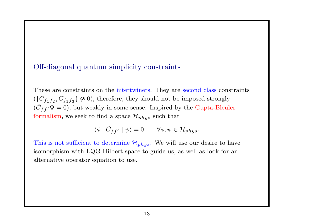#### Off-diagonal quantum simplicity constraints

These are constraints on the intertwiners. They are second class constraints  $({C_f}_{1f_2}, {C_f}_{1f_3} \} \not\approx 0)$ , therefore, they should not be imposed strongly  $(\hat{C}% _{M}^{\dag},\hat{C}_{M}^{\dag},\hat{C}_{M}^{\dag})$  $C_{ff'}\Psi=0$ ), but weakly in some sense. Inspired by the Gupta-Bleuler formalism, we seek to find a space  $\mathcal{H}_{phys}$  such that

> $\langle \phi \mid \hat{C}$  $C_{ff'}\mid \psi \rangle = 0 \qquad \forall \phi,\psi \in \mathcal{H}_{phys}.$

This is not sufficient to determine  $\mathcal{H}_{phys}$ . We will use our desire to have isomorphism with LQG Hilbert space to guide us, as well as look for an alternative operator equation to use.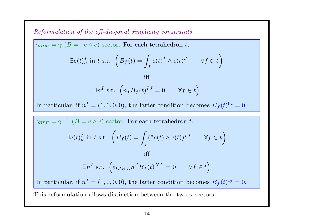Reformulation of the off-diagonal simplicity constraints

 $\gamma_{HBF} = \gamma (B = {}^*e \wedge e)$  sector. For each tetrahedron t,

$$
\exists e(t)_{a}^{I} \text{ in } t \text{ s.t. } \left(B_f(t) = \int_{f} e(t)^{I} \wedge e(t)^{J} \qquad \forall f \in t\right)
$$

iff

$$
\exists n^I \text{ s.t. } \left( n_I B_f(t)^{IJ} = 0 \qquad \forall f \in t \right)
$$

In particular, if  $n^I = (1, 0, 0, 0)$ , the latter condition becomes  $B_f(t)^{0i} = 0$ .

 $\gamma_{HBF} = \gamma^{-1}$   $(B = e \wedge e)$  sector. For each tetrahedron t,

$$
\exists e(t)_{a}^{I} \text{ in } t \text{ s.t. } \left( B_f(t) = \int_{f} ({}^{\star}e(t) \wedge e(t))^{IJ} \qquad \forall f \in t \right)
$$

$$
\exists n^I \text{ s.t. } \left(\epsilon_{IJKL} n^J B_f(t)^{KL} = 0 \qquad \forall f \in t\right)
$$

iff

In particular, if  $n^I = (1, 0, 0, 0)$ , the latter condition becomes  $B_f(t)^{ij} = 0$ .

This reformulation allows distinction between the two  $\gamma$ -sectors.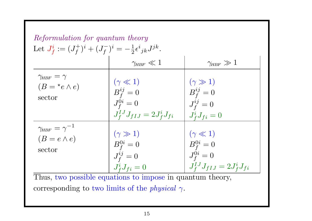| Reformulation for quantum theory<br>Let $J_f^i := (J_f^+)^i + (J_f^-)^i = -\frac{1}{2} \epsilon^i_{\ jk} J^{jk}$ . |                                                                                    |                                                                                    |  |
|--------------------------------------------------------------------------------------------------------------------|------------------------------------------------------------------------------------|------------------------------------------------------------------------------------|--|
|                                                                                                                    | $\gamma_{\rm HBF} \ll 1$                                                           | $\gamma_{\rm HBF} \gg 1$                                                           |  |
| $\gamma_{HBF}=\gamma$<br>$(B = {}^{\star}e \wedge e)$<br>sector                                                    | $(\gamma \ll 1)$<br>$B_f^{ij}=0$<br>$J_f^{0i}=0$<br>$J_f^{1J}J_{fIJ}=2J_f^iJ_{fi}$ | $(\gamma \gg 1)$<br>$B_f^{ij}=0$<br>$J_f^{ij}=0$<br>$J_f^i J_{fi} = 0$             |  |
| $\gamma_{HBF}=\gamma^{-1}$<br>$(B = e \wedge e)$<br>sector                                                         | $(\gamma \gg 1)$<br>$B_f^{0i} = 0$<br>$J_f^{ij}=0$<br>$J_f^i J_{fi} = 0$           | $(\gamma \ll 1)$<br>$B_f^{0i}=0$<br>$J_f^{0i}=0$<br>$J_f^{1J}J_{fIJ}=2J_f^iJ_{fi}$ |  |

Thus, two possible equations to impose in quantum theory, corresponding to two limits of the *physical*  $\gamma$ .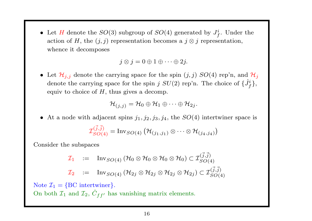• Let H denote the  $SO(3)$  subgroup of  $SO(4)$  generated by  $J_f^i$ . Under the action of H, the  $(j, j)$  representation becomes a  $j \otimes j$  representation, whence it decomposes

$$
j \otimes j = 0 \oplus 1 \oplus \cdots \oplus 2j.
$$

• Let  $\mathcal{H}_{j,j}$  denote the carrying space for the spin  $(j, j)$   $SO(4)$  rep'n, and  $\mathcal{H}_j$ denote the carrying space for the spin  $j$   $SU(2)$  rep'n. The choice of  $\{\hat{J}_f^i\},$ equiv to choice of  $H$ , thus gives a decomp.

$$
\mathcal{H}_{(j,j)}=\mathcal{H}_0\oplus\mathcal{H}_1\oplus\cdots\oplus\mathcal{H}_{2j}.
$$

• At a node with adjacent spins  $j_1, j_2, j_3, j_4$ , the  $SO(4)$  intertwiner space is

$$
\mathcal{I}_{SO(4)}^{(\vec{j},\vec{j})} = \text{Inv}_{SO(4)} (\mathcal{H}_{(j_1,j_1)} \otimes \cdots \otimes \mathcal{H}_{(j_4,j_4)})
$$

Consider the subspaces

$$
\mathcal{I}_1 := \text{Inv}_{SO(4)} (\mathcal{H}_0 \otimes \mathcal{H}_0 \otimes \mathcal{H}_0 \otimes \mathcal{H}_0) \subset \mathcal{I}_{SO(4)}^{(\vec{j}, \vec{j})}
$$
\n
$$
\mathcal{I}_2 := \text{Inv}_{SO(4)} (\mathcal{H}_{2j} \otimes \mathcal{H}_{2j} \otimes \mathcal{H}_{2j} \otimes \mathcal{H}_{2j}) \subset \mathcal{I}_{SO(4)}^{(\vec{j}, \vec{j})}
$$

Note  $\mathcal{I}_1 = \{\text{BC} \text{ intertwiner}\}.$ On both  ${\cal I}_1$  and  ${\cal I}_2, \, \hat C$  $C_{ff'}$  has vanishing matrix elements.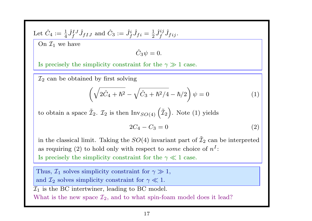Let 
$$
\hat{C}_4 := \frac{1}{4} \hat{J}_f^{IJ} \hat{J}_{fIJ}
$$
 and  $\hat{C}_3 := \hat{J}_f^i \hat{J}_{fi} = \frac{1}{2} \hat{J}_f^{ij} \hat{J}_{fij}$ .

On  $\mathcal{I}_1$  we have

$$
\hat{C}_3\psi=0.
$$

Is precisely the simplicity constraint for the  $\gamma \gg 1$  case.

 $\mathcal{I}_2$  can be obtained by first solving

$$
\left(\sqrt{2\hat{C}_4 + \hbar^2} - \sqrt{\hat{C}_3 + \hbar^2/4} - \hbar/2\right)\psi = 0\tag{1}
$$

 $\text{to obtain a space } \tilde{\mathcal{I}}_1$  $\mathcal{I}_2$ .  $\mathcal{I}_2$  is then  $\text{Inv}_{SO(4)}\left(\tilde{\mathcal{I}}_2\right)$ . Note (1) yields

$$
2C_4 - C_3 = 0 \tag{2}
$$

in the classical limit. Taking the  $SO(4)$  invariant part of  $\tilde{\mathcal{I}}_1$  $\mathcal{I}_2$  can be interpreted as requiring (2) to hold only with respect to *some* choice of  $n<sup>I</sup>$ : Is precisely the simplicity constraint for the  $\gamma \ll 1$  case.

Thus,  $\mathcal{I}_1$  solves simplicity constraint for  $\gamma \gg 1$ , and  $\mathcal{I}_2$  solves simplicity constraint for  $\gamma \ll 1$ .  $\overline{\mathcal{I}_1}$  is the BC intertwiner, leading to BC model. What is the new space  $\mathcal{I}_2$ , and to what spin-foam model does it lead?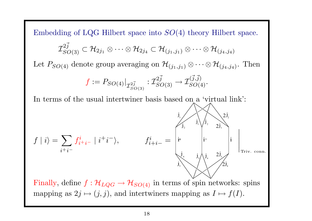Embedding of LQG Hilbert space into  $SO(4)$  theory Hilbert space.  ${\mathcal I}_{SO(3)}^{2\vec j}\subset {\mathcal H}_{2j_1}\otimes\cdots\otimes{\mathcal H}_{2j_4}\subset {\mathcal H}_{(j_1,j_1)}\otimes\cdots\otimes{\mathcal H}_{(j_4,j_4)}$ 

Let  $P_{SO(4)}$  denote group averaging on  $\mathcal{H}_{(j_1,j_1)} \otimes \cdots \otimes \mathcal{H}_{(j_4,j_4)}$ . Then

$$
f := P_{SO(4)}|_{\mathcal{I}_{SO(3)}^{2\vec{j}}} : \mathcal{I}_{SO(3)}^{2\vec{j}} \to \mathcal{I}_{SO(4)}^{(\vec{j}, \vec{j})}.
$$

In terms of the usual intertwiner basis based on <sup>a</sup> 'virtual link':

$$
f | i \rangle = \sum_{i + i^{-}} f_{i^{+}}^{i} | i^{+} i^{-} \rangle, \qquad f_{i + i^{-}}^{i} = \begin{bmatrix} \mathbf{i} & \mathbf{j}_{1} & \mathbf{j}_{1} & \mathbf{j}_{2} & \mathbf{j}_{3} \\ \mathbf{i} & \mathbf{j}_{2} & \mathbf{j}_{3} & \mathbf{j}_{4} & \mathbf{j}_{5} \\ \mathbf{j}_{3} & \mathbf{j}_{3} & \mathbf{j}_{4} & \mathbf{j}_{5} & \mathbf{j}_{5} \\ \mathbf{j}_{4} & \mathbf{j}_{5} & \mathbf{j}_{4} & \mathbf{j}_{5} & \mathbf{j}_{5} \\ \mathbf{j}_{5} & \mathbf{j}_{6} & \mathbf{j}_{7} & \mathbf{j}_{8} & \mathbf{j}_{9} \\ \mathbf{k} & \mathbf{j}_{8} & \mathbf{j}_{9} & \mathbf{j}_{9} & \mathbf{j}_{1} \\ \mathbf{k} & \mathbf{k} & \mathbf{k} & \mathbf{k} \end{bmatrix} \mathbf{r}_{\text{riv. conn.}}
$$

Finally, define  $f : \mathcal{H}_{LQG} \to \mathcal{H}_{SO(4)}$  in terms of spin networks: spins mapping as  $2j \mapsto (j, j)$ , and intertwiners mapping as  $I \mapsto f(I)$ .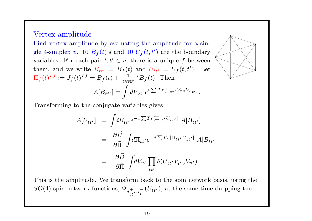#### Vertex amplitude

Find vertex amplitude by evaluating the amplitude for <sup>a</sup> single 4-simplex v. 10  $B_f(t)$ 's and 10  $U_f(t,t')$  are the boundary variables. For each pair  $t, t' \in v$ , there is a unique f between them, and we write  $B_{tt'} = B_f (t)$  and  $U_{tt'} = U_f (t, t')$ . Let  $\Pi_f(t)^{IJ} := J_f(t)^{IJ} = B_f(t) + \frac{1}{\gamma_{HBF}} \star B_f(t).$  Then  $A[B_{tt'}] = \int dV_{vt} \ e^{i \sum Tr[\Pi_{tt'} V_{tv} V_{vt'}]}$ .



$$
A[U_{tt'}] = \int dB_{tt'} e^{-i \sum Tr[\Pi_{tt'} U_{tt'}]} A[B_{tt'}]
$$
  
= 
$$
\left| \frac{\partial \vec{B}}{\partial \vec{\Pi}} \right| \int d\Pi_{tt'} e^{-i \sum Tr[\Pi_{tt'} U_{tt'}]} A[B_{tt'}]
$$
  
= 
$$
\left| \frac{\partial \vec{B}}{\partial \vec{\Pi}} \right| \int dV_{vt} \prod_{tt'} \delta(U_{tt'} V_{t'v} V_{vt}).
$$

This is the amplitude. We transform back to the spin network basis, using the SO(4) spin network functions,  $\Psi_{j\pm, i\pm} (U_{tt'})$ , at the same time dropping the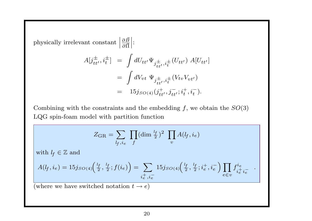physically irrelevant constant  $\left|\frac{\partial \vec{B}}{\partial \vec{\Pi}}\right|$ :

$$
A[j_{tt'}^{\pm}, i_t^{\pm}] = \int dU_{tt'} \Psi_{j_{tt'}^{\pm}, i_t^{\pm}}(U_{tt'}) A[U_{tt'}]
$$
  
= 
$$
\int dV_{vt} \Psi_{j_{tt'}^{\pm}, i_t^{\pm}}(V_{tv} V_{vt'})
$$
  
= 
$$
15j_{SO(4)}(j_{tt'}^+, j_{tt'}^-, i_t^+, i_t^-).
$$

Combining with the constraints and the embedding  $f$ , we obtain the  $SO(3)$ LQG spin-foam model with partition function

$$
Z_{\text{GR}} = \sum_{l_f, i_e} \prod_j (\dim \frac{l_f}{2})^2 \prod_v A(l_f, i_e)
$$
  
with  $l_f \in \mathbb{Z}$  and  

$$
A(l_f, i_e) = 15j_{SO(4)} \left(\frac{l_f}{2}, \frac{l_f}{2}; f(i_e)\right) = \sum_{i_e^+, i_e^-} 15j_{SO(4)} \left(\frac{l_f}{2}, \frac{l_f}{2}; i_e^+, i_e^-\right) \prod_{e \in v} f_{i_e^+, i_e^-}^{i_e}.
$$
  
(where we have switched notation  $t \to e$ ).

(where we have switched notation  $t \to e$ )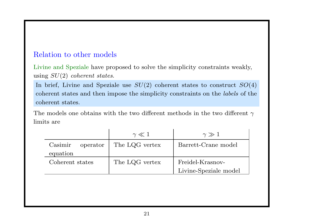### Relation to other models

Livine and Speziale have proposed to solve the simplicity constraints weakly, using  $SU(2)$  coherent states.

In brief, Livine and Speziale use  $SU(2)$  coherent states to construct  $SO(4)$ coherent states and then impose the simplicity constraints on the labels of the coherent states.

The models one obtains with the two different methods in the two different  $\gamma$ limits are

|                     | $\gamma \ll 1$ | $\gamma \gg 1$        |
|---------------------|----------------|-----------------------|
| Casimir<br>operator | The LQG vertex | Barrett-Crane model   |
| equation            |                |                       |
| Coherent states     | The LQG vertex | Freidel-Krasnov-      |
|                     |                | Livine-Speziale model |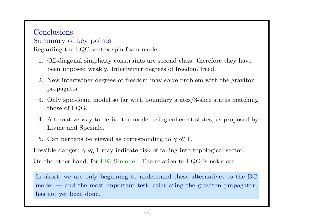### **Conclusions** Summary of key points

Regarding the LQG vertex spin-foam model:

- 1. Off-diagonal simplicity constraints are second class: therefore they have been imposed weakly. Intertwiner degrees of freedom freed.
- 2. New intertwiner degrees of freedom may solve problem with the graviton propagator.
- 3. Only spin-foam model so far with boundary states/3-slice states matching those of LQG.
- 4. Alternative way to derive the model using coherent states, as proposed by Livine and Speziale.
- 5. Can perhaps be viewed as corresponding to  $\gamma \ll 1$ .

Possible danger:  $\gamma \ll 1$  may indicate risk of falling into topological sector.

On the other hand, for FKLS model: The relation to LQG is not clear.

In short, we are only beginning to understand these alternatives to the BC model — and the most important test, calculating the graviton propagator, has not yet been done.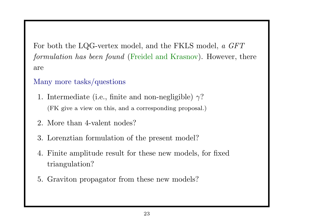For both the LQG-vertex model, and the FKLS model, <sup>a</sup> GFT formulation has been found (Freidel and Krasnov). However, there are

## Many more tasks/questions

- 1. Intermediate (i.e., finite and non-negligible)  $\gamma$ ? (FK <sup>g</sup>ive <sup>a</sup> view on this, and <sup>a</sup> corresponding proposal.)
- 2. More than 4-valent nodes?
- 3. Lorenztian formulation of the present model?
- 4. Finite amplitude result for these new models, for fixed triangulation?
- 5. Graviton propagator from these new models?